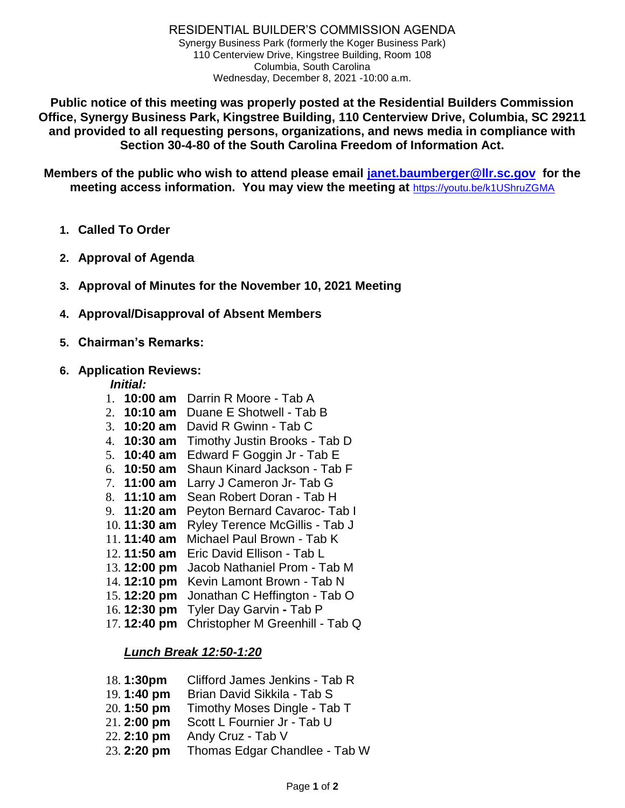RESIDENTIAL BUILDER'S COMMISSION AGENDA Synergy Business Park (formerly the Koger Business Park) 110 Centerview Drive, Kingstree Building, Room 108 Columbia, South Carolina Wednesday, December 8, 2021 -10:00 a.m.

**Public notice of this meeting was properly posted at the Residential Builders Commission Office, Synergy Business Park, Kingstree Building, 110 Centerview Drive, Columbia, SC 29211 and provided to all requesting persons, organizations, and news media in compliance with Section 30-4-80 of the South Carolina Freedom of Information Act.**

**Members of the public who wish to attend please email [janet.baumberger@llr.sc.gov](mailto:janet.baumberger@llr.sc.gov) for the meeting access information. You may view the meeting at** <https://youtu.be/k1UShruZGMA>

- **1. Called To Order**
- **2. Approval of Agenda**
- **3. Approval of Minutes for the November 10, 2021 Meeting**
- **4. Approval/Disapproval of Absent Members**
- **5. Chairman's Remarks:**
- **6. Application Reviews:**

## *Initial:*

- 1. **10:00 am** Darrin R Moore Tab A
- 2. **10:10 am** Duane E Shotwell Tab B
- 3. **10:20 am** David R Gwinn Tab C
- 4. **10:30 am** Timothy Justin Brooks Tab D
- 5. **10:40 am** Edward F Goggin Jr Tab E
- 6. **10:50 am** Shaun Kinard Jackson Tab F
- 7. **11:00 am** Larry J Cameron Jr- Tab G
- 8. **11:10 am** Sean Robert Doran Tab H
- 9. **11:20 am** Peyton Bernard Cavaroc- Tab I
- 10. **11:30 am** Ryley Terence McGillis Tab J
- 11. **11:40 am** Michael Paul Brown Tab K
- 12. **11:50 am** Eric David Ellison Tab L
- 13. **12:00 pm** Jacob Nathaniel Prom Tab M
- 14. **12:10 pm** Kevin Lamont Brown Tab N
- 15. **12:20 pm** Jonathan C Heffington Tab O
- 16. **12:30 pm** Tyler Day Garvin **-** Tab P
- 17. **12:40 pm** Christopher M Greenhill Tab Q

## *Lunch Break 12:50-1:20*

| 18.1:30pm   | Clifford James Jenkins - Tab R |
|-------------|--------------------------------|
| 19.1:40 pm  | Brian David Sikkila - Tab S    |
| 20.1:50 pm  | Timothy Moses Dingle - Tab T   |
| 21.2:00 pm  | Scott L Fournier Jr - Tab U    |
| 22. 2:10 pm | Andy Cruz - Tab V              |
| 23.2:20 pm  | Thomas Edgar Chandlee - Tab W  |